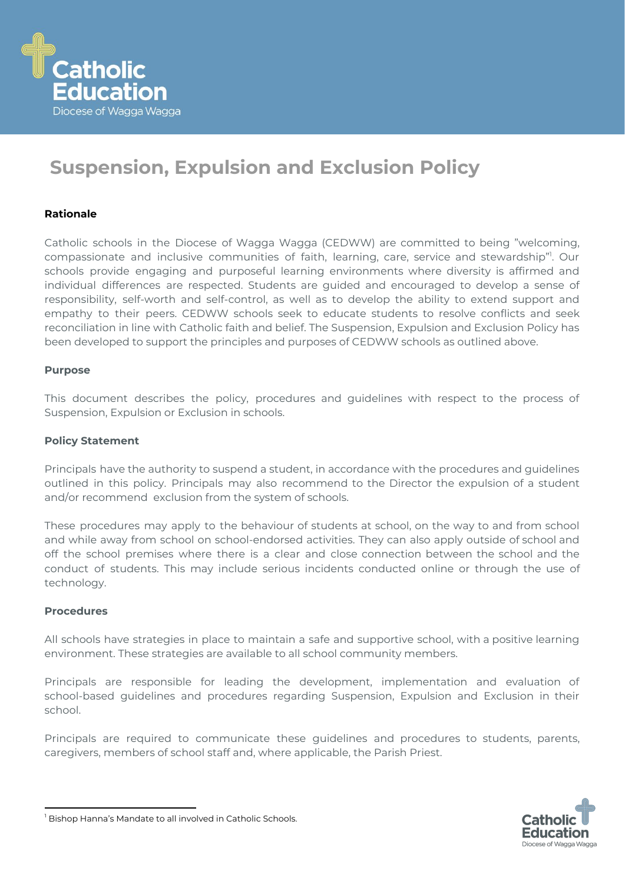

# **Suspension, Expulsion and Exclusion Policy**

### **Rationale**

Catholic schools in the Diocese of Wagga Wagga (CEDWW) are committed to being "welcoming, compassionate and inclusive communities of faith, learning, care, service and stewardship"<sup>1</sup>. Our schools provide engaging and purposeful learning environments where diversity is affirmed and individual differences are respected. Students are guided and encouraged to develop a sense of responsibility, self-worth and self-control, as well as to develop the ability to extend support and empathy to their peers. CEDWW schools seek to educate students to resolve conflicts and seek reconciliation in line with Catholic faith and belief. The Suspension, Expulsion and Exclusion Policy has been developed to support the principles and purposes of CEDWW schools as outlined above.

#### **Purpose**

This document describes the policy, procedures and guidelines with respect to the process of Suspension, Expulsion or Exclusion in schools.

#### **Policy Statement**

Principals have the authority to suspend a student, in accordance with the procedures and guidelines outlined in this policy. Principals may also recommend to the Director the expulsion of a student and/or recommend exclusion from the system of schools.

These procedures may apply to the behaviour of students at school, on the way to and from school and while away from school on school-endorsed activities. They can also apply outside of school and off the school premises where there is a clear and close connection between the school and the conduct of students. This may include serious incidents conducted online or through the use of technology.

#### **Procedures**

All schools have strategies in place to maintain a safe and supportive school, with a positive learning environment. These strategies are available to all school community members.

Principals are responsible for leading the development, implementation and evaluation of school-based guidelines and procedures regarding Suspension, Expulsion and Exclusion in their school.

Principals are required to communicate these guidelines and procedures to students, parents, caregivers, members of school staff and, where applicable, the Parish Priest.



<sup>&</sup>lt;sup>1</sup> Bishop Hanna's Mandate to all involved in Catholic Schools.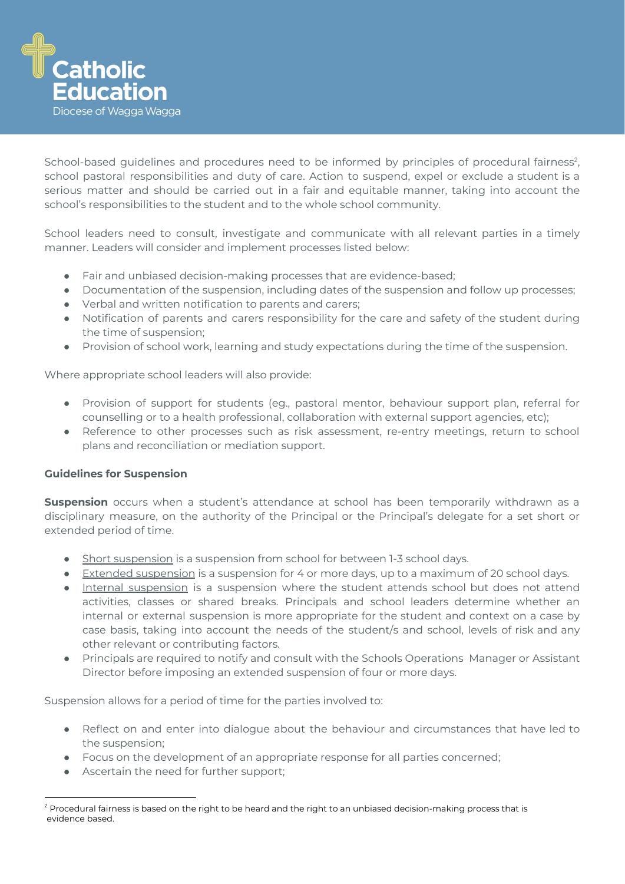

School-based guidelines and procedures need to be informed by principles of procedural fairness<sup>2</sup>, school pastoral responsibilities and duty of care. Action to suspend, expel or exclude a student is a serious matter and should be carried out in a fair and equitable manner, taking into account the school's responsibilities to the student and to the whole school community.

School leaders need to consult, investigate and communicate with all relevant parties in a timely manner. Leaders will consider and implement processes listed below:

- Fair and unbiased decision-making processes that are evidence-based;
- Documentation of the suspension, including dates of the suspension and follow up processes;
- Verbal and written notification to parents and carers;
- Notification of parents and carers responsibility for the care and safety of the student during the time of suspension;
- Provision of school work, learning and study expectations during the time of the suspension.

Where appropriate school leaders will also provide:

- Provision of support for students (eg., pastoral mentor, behaviour support plan, referral for counselling or to a health professional, collaboration with external support agencies, etc);
- Reference to other processes such as risk assessment, re-entry meetings, return to school plans and reconciliation or mediation support.

## **Guidelines for Suspension**

**Suspension** occurs when a student's attendance at school has been temporarily withdrawn as a disciplinary measure, on the authority of the Principal or the Principal's delegate for a set short or extended period of time.

- Short suspension is a suspension from school for between 1-3 school days.
- Extended suspension is a suspension for 4 or more days, up to a maximum of 20 school days.
- Internal suspension is a suspension where the student attends school but does not attend activities, classes or shared breaks. Principals and school leaders determine whether an internal or external suspension is more appropriate for the student and context on a case by case basis, taking into account the needs of the student/s and school, levels of risk and any other relevant or contributing factors.
- Principals are required to notify and consult with the Schools Operations Manager or Assistant Director before imposing an extended suspension of four or more days.

Suspension allows for a period of time for the parties involved to:

- Reflect on and enter into dialogue about the behaviour and circumstances that have led to the suspension;
- Focus on the development of an appropriate response for all parties concerned;
- Ascertain the need for further support;

 $2$  Procedural fairness is based on the right to be heard and the right to an unbiased decision-making process that is evidence based.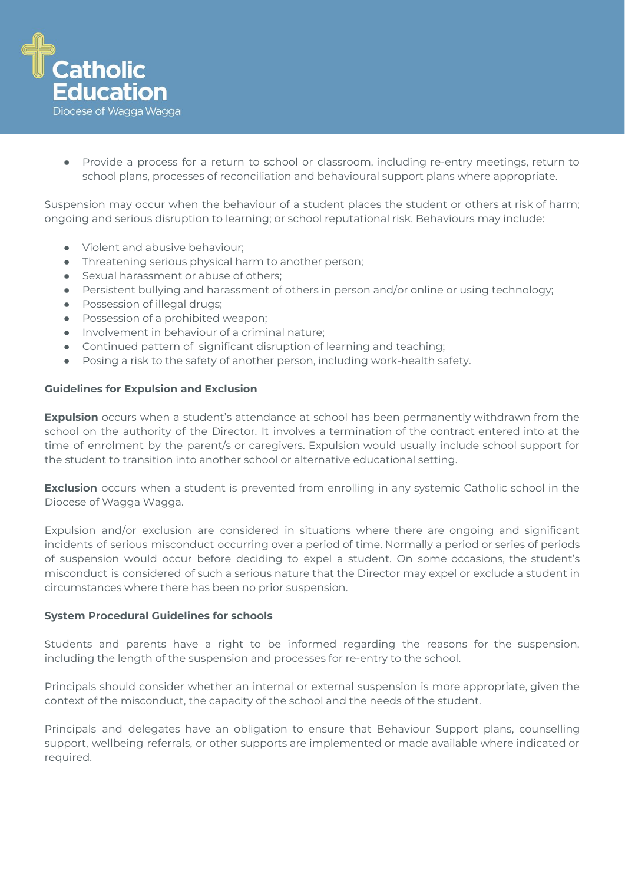

● Provide a process for a return to school or classroom, including re-entry meetings, return to school plans, processes of reconciliation and behavioural support plans where appropriate.

Suspension may occur when the behaviour of a student places the student or others at risk of harm; ongoing and serious disruption to learning; or school reputational risk. Behaviours may include:

- Violent and abusive behaviour;
- Threatening serious physical harm to another person;
- Sexual harassment or abuse of others;
- Persistent bullying and harassment of others in person and/or online or using technology;
- Possession of illegal drugs;
- Possession of a prohibited weapon;
- Involvement in behaviour of a criminal nature;
- Continued pattern of significant disruption of learning and teaching;
- Posing a risk to the safety of another person, including work-health safety.

#### **Guidelines for Expulsion and Exclusion**

**Expulsion** occurs when a student's attendance at school has been permanently withdrawn from the school on the authority of the Director. It involves a termination of the contract entered into at the time of enrolment by the parent/s or caregivers. Expulsion would usually include school support for the student to transition into another school or alternative educational setting.

**Exclusion** occurs when a student is prevented from enrolling in any systemic Catholic school in the Diocese of Wagga Wagga.

Expulsion and/or exclusion are considered in situations where there are ongoing and significant incidents of serious misconduct occurring over a period of time. Normally a period or series of periods of suspension would occur before deciding to expel a student. On some occasions, the student's misconduct is considered of such a serious nature that the Director may expel or exclude a student in circumstances where there has been no prior suspension.

#### **System Procedural Guidelines for schools**

Students and parents have a right to be informed regarding the reasons for the suspension, including the length of the suspension and processes for re-entry to the school.

Principals should consider whether an internal or external suspension is more appropriate, given the context of the misconduct, the capacity of the school and the needs of the student.

Principals and delegates have an obligation to ensure that Behaviour Support plans, counselling support, wellbeing referrals, or other supports are implemented or made available where indicated or required.